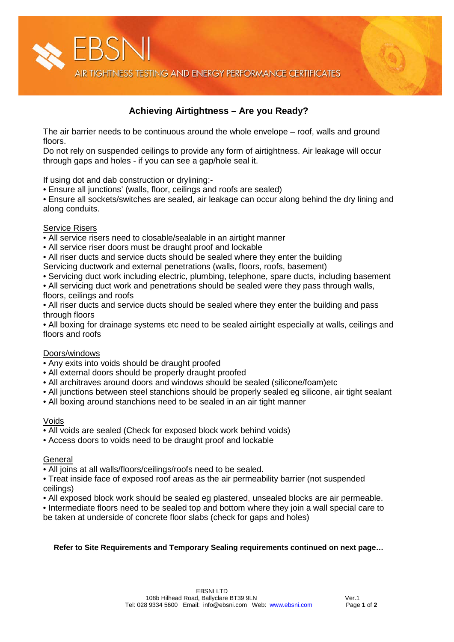

# **Achieving Airtightness – Are you Ready?**

The air barrier needs to be continuous around the whole envelope – roof, walls and ground floors.

Do not rely on suspended ceilings to provide any form of airtightness. Air leakage will occur through gaps and holes - if you can see a gap/hole seal it.

If using dot and dab construction or drylining:-

• Ensure all junctions' (walls, floor, ceilings and roofs are sealed)

• Ensure all sockets/switches are sealed, air leakage can occur along behind the dry lining and along conduits.

### Service Risers

- All service risers need to closable/sealable in an airtight manner
- All service riser doors must be draught proof and lockable
- All riser ducts and service ducts should be sealed where they enter the building
- Servicing ductwork and external penetrations (walls, floors, roofs, basement)

• Servicing duct work including electric, plumbing, telephone, spare ducts, including basement

• All servicing duct work and penetrations should be sealed were they pass through walls, floors, ceilings and roofs

• All riser ducts and service ducts should be sealed where they enter the building and pass through floors

• All boxing for drainage systems etc need to be sealed airtight especially at walls, ceilings and floors and roofs

### Doors/windows

- Any exits into voids should be draught proofed
- All external doors should be properly draught proofed
- All architraves around doors and windows should be sealed (silicone/foam)etc
- All junctions between steel stanchions should be properly sealed eg silicone, air tight sealant
- All boxing around stanchions need to be sealed in an air tight manner

### Voids

- All voids are sealed (Check for exposed block work behind voids)
- Access doors to voids need to be draught proof and lockable

#### **General**

• All joins at all walls/floors/ceilings/roofs need to be sealed.

• Treat inside face of exposed roof areas as the air permeability barrier (not suspended ceilings)

• All exposed block work should be sealed eg plastered, unsealed blocks are air permeable.

• Intermediate floors need to be sealed top and bottom where they join a wall special care to be taken at underside of concrete floor slabs (check for gaps and holes)

#### **Refer to Site Requirements and Temporary Sealing requirements continued on next page…**